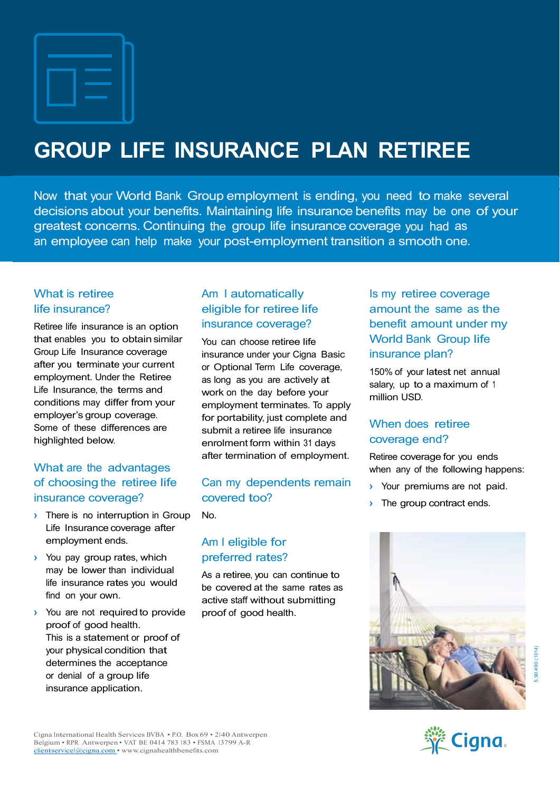# GROUP LIFE INSURANCE PLAN RETIREE

Now that your World Bank Group employment is ending, you need to make several decisions about your benefits. Maintaining life insurance benefits may be one of your greatest concerns. Continuing the group life insurance coverage you had as an employee can help make your post-employment transition a smooth one.

# What is retiree

Retiree life insurance is an option that enables you to obtain similar Group Life Insurance coverage after you terminate your current employment. Under the Retiree Life Insurance, the terms and conditions may differ from your employer's group coverage. Some of these differences are highlighted below.

## What are the advantages of choosing the retiree life insurance coverage?

- **I** There is no interruption in Group Life Insurance coverage after employment ends.
- › You pay group rates, which may be lower than individual life insurance rates you would find on your own.
- › You are not required to provide proof of good health. This is a statement or proof of your physical condition that determines the acceptance or denial of a group life insurance application.

### life insurance? eligible for retiree life Am I automatically insurance coverage?

You can choose retiree life insurance under your Cigna Basic or Optional Term Life coverage, as long as you are actively at work on the day before your employment terminates. To apply for portability, just complete and submit a retiree life insurance enrolment form within 31 days after termination of employment.

#### Can my dependents remain, covered too?

No.

## Am I eligible for preferred rates?

As a retiree, you can continue to be covered at the same rates as active staff without submitting proof of good health.

Is my retiree coverage amount the same as the benefit amount under my World Bank Group life insurance plan?

150% of your latest net annual salary, up to a maximum of <sup>1</sup> million USD.

### When does retiree coverage end?

Retiree coverage for you ends when any of the following happens:

- Your premiums are not paid.
- The group contract ends.